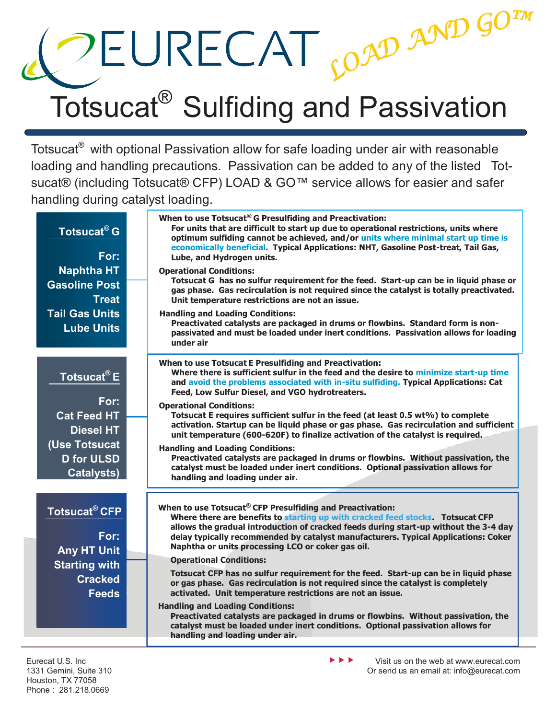## $\text{CEURECAT}_{S^{O}}$  and  $\text{G}^{O^{TM}}$ <br>Totsucat® Sulfiding and Passivation

Totsucat® with optional Passivation allow for safe loading under air with reasonable loading and handling precautions. Passivation can be added to any of the listed Totsucat® (including Totsucat® CFP) LOAD & GO™ service allows for easier and safer handling during catalyst loading.

| <b>Totsucat<sup>®</sup> G</b><br>For: | When to use Totsucat® G Presulfiding and Preactivation:<br>For units that are difficult to start up due to operational restrictions, units where<br>optimum sulfiding cannot be achieved, and/or units where minimal start up time is<br>economically beneficial. Typical Applications: NHT, Gasoline Post-treat, Tail Gas,<br>Lube, and Hydrogen units. |
|---------------------------------------|----------------------------------------------------------------------------------------------------------------------------------------------------------------------------------------------------------------------------------------------------------------------------------------------------------------------------------------------------------|
| <b>Naphtha HT</b>                     | <b>Operational Conditions:</b>                                                                                                                                                                                                                                                                                                                           |
| <b>Gasoline Post</b><br><b>Treat</b>  | Totsucat G has no sulfur requirement for the feed. Start-up can be in liquid phase or<br>gas phase. Gas recirculation is not required since the catalyst is totally preactivated.<br>Unit temperature restrictions are not an issue.                                                                                                                     |
| <b>Tail Gas Units</b>                 | <b>Handling and Loading Conditions:</b>                                                                                                                                                                                                                                                                                                                  |
| <b>Lube Units</b>                     | Preactivated catalysts are packaged in drums or flowbins. Standard form is non-<br>passivated and must be loaded under inert conditions. Passivation allows for loading<br>under air                                                                                                                                                                     |
| Totsucat <sup>®</sup> E               | When to use Totsucat E Presulfiding and Preactivation:<br>Where there is sufficient sulfur in the feed and the desire to minimize start-up time<br>and avoid the problems associated with in-situ sulfiding. Typical Applications: Cat<br>Feed, Low Sulfur Diesel, and VGO hydrotreaters.                                                                |
| For:                                  | <b>Operational Conditions:</b>                                                                                                                                                                                                                                                                                                                           |
| <b>Cat Feed HT</b>                    | Totsucat E requires sufficient sulfur in the feed (at least 0.5 wt%) to complete                                                                                                                                                                                                                                                                         |
| <b>Diesel HT</b>                      | activation. Startup can be liquid phase or gas phase. Gas recirculation and sufficient<br>unit temperature (600-620F) to finalize activation of the catalyst is required.                                                                                                                                                                                |
| (Use Totsucat                         |                                                                                                                                                                                                                                                                                                                                                          |
| <b>D</b> for ULSD                     | <b>Handling and Loading Conditions:</b><br>Preactivated catalysts are packaged in drums or flowbins. Without passivation, the                                                                                                                                                                                                                            |
| <b>Catalysts)</b>                     | catalyst must be loaded under inert conditions. Optional passivation allows for<br>handling and loading under air.                                                                                                                                                                                                                                       |
|                                       |                                                                                                                                                                                                                                                                                                                                                          |
| Totsucat <sup>®</sup> CFP             | When to use Totsucat® CFP Presulfiding and Preactivation:<br>Where there are benefits to starting up with cracked feed stocks Totsucat CFP                                                                                                                                                                                                               |
| For:<br><b>Any HT Unit</b>            | allows the gradual introduction of cracked feeds during start-up without the 3-4 day<br>delay typically recommended by catalyst manufacturers. Typical Applications: Coker<br>Naphtha or units processing LCO or coker gas oil.                                                                                                                          |
|                                       | <b>Operational Conditions:</b>                                                                                                                                                                                                                                                                                                                           |
| <b>Starting with</b>                  | Totsucat CFP has no sulfur requirement for the feed. Start-up can be in liquid phase                                                                                                                                                                                                                                                                     |
| <b>Cracked</b><br><b>Feeds</b>        | or gas phase. Gas recirculation is not required since the catalyst is completely<br>activated. Unit temperature restrictions are not an issue.                                                                                                                                                                                                           |
|                                       | <b>Handling and Loading Conditions:</b>                                                                                                                                                                                                                                                                                                                  |
|                                       | Preactivated catalysts are packaged in drums or flowbins. Without passivation, the                                                                                                                                                                                                                                                                       |
|                                       | catalyst must be loaded under inert conditions. Optional passivation allows for<br>handling and loading under air.                                                                                                                                                                                                                                       |
|                                       |                                                                                                                                                                                                                                                                                                                                                          |

 $\blacktriangleright$   $\blacktriangleright$   $\blacktriangleright$ 

Visit us on the web at www.eurecat.com Or send us an email at: info@eurecat.com